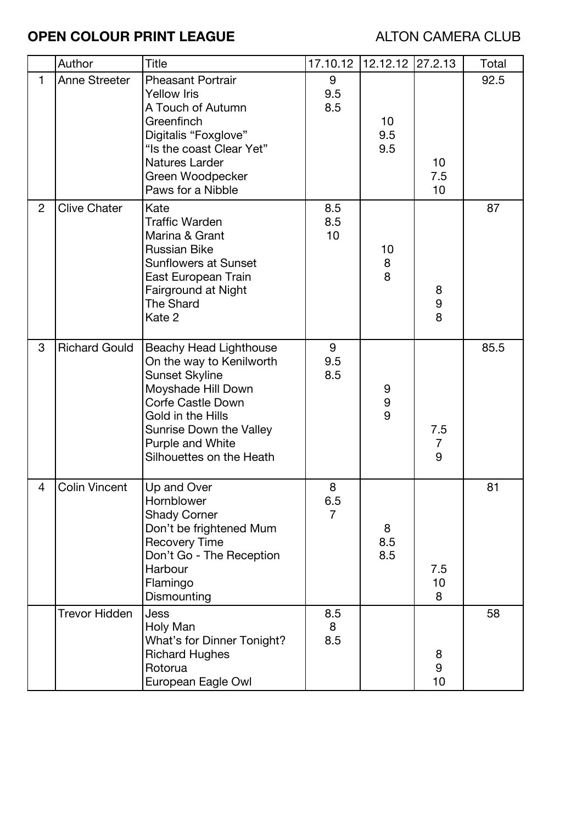## **OPEN COLOUR PRINT LEAGUE ALTON CAMERA CLUB**

|                | Author               | <b>Title</b>                                                                                                                                                                                                                         | 17.10.12                   | 12.12.12 27.2.13                            |                              | Total |
|----------------|----------------------|--------------------------------------------------------------------------------------------------------------------------------------------------------------------------------------------------------------------------------------|----------------------------|---------------------------------------------|------------------------------|-------|
| $\mathbf{1}$   | <b>Anne Streeter</b> | <b>Pheasant Portrair</b><br>Yellow Iris<br>A Touch of Autumn<br>Greenfinch<br>Digitalis "Foxglove"<br>"Is the coast Clear Yet"<br><b>Natures Larder</b><br>Green Woodpecker<br>Paws for a Nibble                                     | 9<br>9.5<br>8.5            | 10 <sub>1</sub><br>9.5<br>9.5               | 10 <sup>1</sup><br>7.5<br>10 | 92.5  |
| $\overline{2}$ | <b>Clive Chater</b>  | Kate<br><b>Traffic Warden</b><br>Marina & Grant<br><b>Russian Bike</b><br><b>Sunflowers at Sunset</b><br>East European Train<br>Fairground at Night<br><b>The Shard</b><br>Kate 2                                                    | 8.5<br>8.5<br>10           | 10<br>$\begin{array}{c} 8 \\ 8 \end{array}$ | 8<br>9<br>8                  | 87    |
| 3              | <b>Richard Gould</b> | <b>Beachy Head Lighthouse</b><br>On the way to Kenilworth<br><b>Sunset Skyline</b><br>Moyshade Hill Down<br><b>Corfe Castle Down</b><br>Gold in the Hills<br>Sunrise Down the Valley<br>Purple and White<br>Silhouettes on the Heath | 9<br>9.5<br>8.5            | 9<br>9<br>9                                 | 7.5<br>$\overline{7}$<br>9   | 85.5  |
| 4              | <b>Colin Vincent</b> | Up and Over<br>Hornblower<br><b>Shady Corner</b><br>Don't be frightened Mum<br><b>Recovery Time</b><br>Don't Go - The Reception<br>Harbour<br>Flamingo<br>Dismounting                                                                | 8<br>6.5<br>$\overline{7}$ | 8<br>8.5<br>8.5                             | 7.5<br>10<br>8               | 81    |
|                | <b>Trevor Hidden</b> | Jess<br>Holy Man<br>What's for Dinner Tonight?<br><b>Richard Hughes</b><br>Rotorua<br>European Eagle Owl                                                                                                                             | 8.5<br>8<br>8.5            |                                             | 8<br>9<br>10                 | 58    |